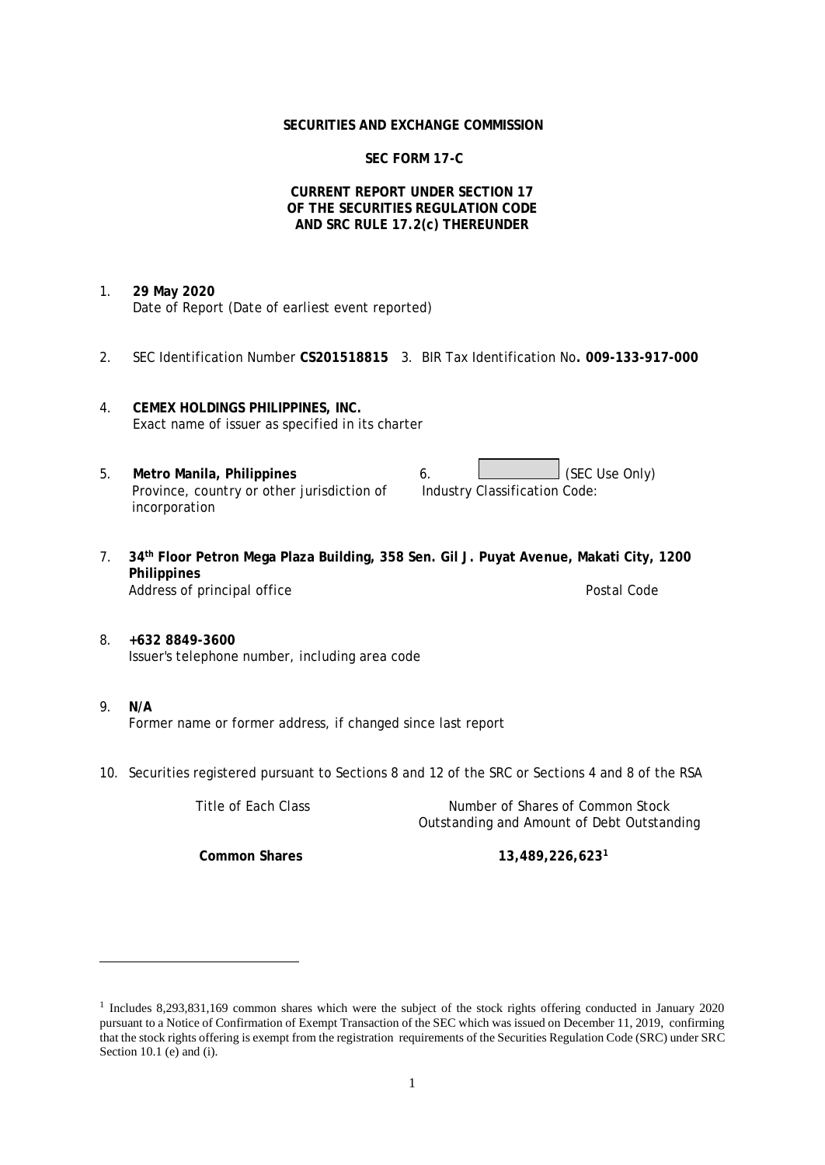#### **SECURITIES AND EXCHANGE COMMISSION**

# **SEC FORM 17-C**

### **CURRENT REPORT UNDER SECTION 17 OF THE SECURITIES REGULATION CODE AND SRC RULE 17.2(c) THEREUNDER**

- 1. **29 May 2020** Date of Report (Date of earliest event reported)
- 2. SEC Identification Number **CS201518815** 3. BIR Tax Identification No**. 009-133-917-000**
- 4. **CEMEX HOLDINGS PHILIPPINES, INC.** Exact name of issuer as specified in its charter
- 5. Metro Manila, Philippines **6.** (SEC Use Only) Province, country or other jurisdiction of incorporation Industry Classification Code:
- 7. **34th Floor Petron Mega Plaza Building, 358 Sen. Gil J. Puyat Avenue, Makati City, 1200 Philippines** Address of principal office **Postal Code** Postal Code Postal Code
- 8. **+632 8849-3600** Issuer's telephone number, including area code
- 9. **N/A** Former name or former address, if changed since last report
- 10. Securities registered pursuant to Sections 8 and 12 of the SRC or Sections 4 and 8 of the RSA

Title of Each Class Number of Shares of Common Stock Outstanding and Amount of Debt Outstanding

**Common Shares 13,489,226,623<sup>1</sup>**

<sup>1</sup> Includes 8,293,831,169 common shares which were the subject of the stock rights offering conducted in January 2020 pursuant to a Notice of Confirmation of Exempt Transaction of the SEC which was issued on December 11, 2019, confirming that the stock rights offering is exempt from the registration requirements of the Securities Regulation Code (SRC) under SRC Section 10.1 (e) and (i).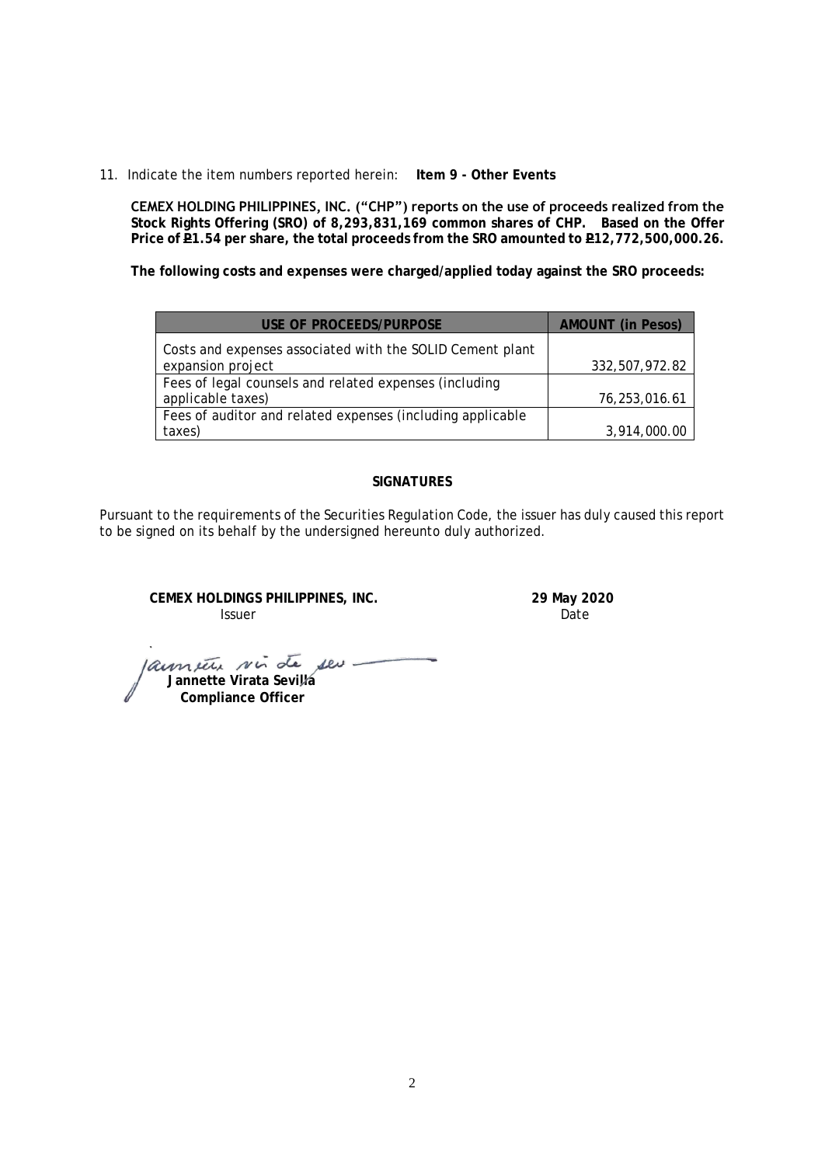11. Indicate the item numbers reported herein: **Item 9 - Other Events**

**CEMEX HOLDING PHILIPPINES, INC. ("CHP") reports on the use of proceeds realized from the Stock Rights Offering (SRO) of 8,293,831,169 common shares of CHP. Based on the Offer**  Price of **P1.54** per share, the total proceeds from the SRO amounted to **P12,772,500,000.26.** 

**The following costs and expenses were charged/applied today against the SRO proceeds:**

| USE OF PROCFFDS/PURPOSE                                    | <b>AMOUNT</b> (in Pesos) |
|------------------------------------------------------------|--------------------------|
| Costs and expenses associated with the SOLID Cement plant  |                          |
| expansion project                                          | 332,507,972.82           |
| Fees of legal counsels and related expenses (including     |                          |
| applicable taxes)                                          | 76,253,016.61            |
| Fees of auditor and related expenses (including applicable |                          |
| taxes)                                                     | 3,914,000.00             |

### **SIGNATURES**

Pursuant to the requirements of the Securities Regulation Code, the issuer has duly caused this report to be signed on its behalf by the undersigned hereunto duly authorized.

**CEMEX HOLDINGS PHILIPPINES, INC. 29 May 2020 Issuer Community Community Community** Contract Date

launier sin de seu.  **Jannette Virata Sevilla Compliance Officer**